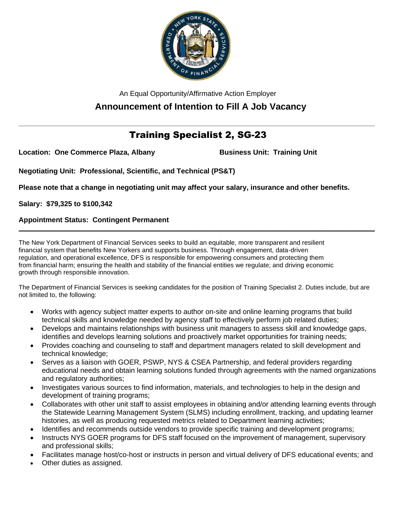

An Equal Opportunity/Affirmative Action Employer

# **Announcement of Intention to Fill A Job Vacancy**

## **\_\_\_\_\_\_\_\_\_\_\_\_\_\_\_\_\_\_\_\_\_\_\_\_\_\_\_\_\_\_\_\_\_\_\_\_\_\_\_\_\_\_\_\_\_\_\_\_\_\_\_\_\_\_\_\_\_\_\_\_\_\_\_\_\_\_\_\_\_\_\_\_\_\_\_\_\_\_\_\_\_\_\_\_\_\_\_\_\_\_\_\_\_\_\_\_\_\_\_** Training Specialist 2, SG-23

**Location: One Commerce Plaza, Albany <b>Business Unit: Training Unit** 

**Negotiating Unit: Professional, Scientific, and Technical (PS&T)**

**Please note that a change in negotiating unit may affect your salary, insurance and other benefits.**

**Salary: \$79,325 to \$100,342**

## **Appointment Status: Contingent Permanent**

The New York Department of Financial Services seeks to build an equitable, more transparent and resilient financial system that benefits New Yorkers and supports business. Through engagement, data-driven regulation, and operational excellence, DFS is responsible for empowering consumers and protecting them from financial harm; ensuring the health and stability of the financial entities we regulate; and driving economic growth through responsible innovation.

The Department of Financial Services is seeking candidates for the position of Training Specialist 2. Duties include, but are not limited to, the following:

**\_\_\_\_\_\_\_\_\_\_\_\_\_\_\_\_\_\_\_\_\_\_\_\_\_\_\_\_\_\_\_\_\_\_\_\_\_\_\_\_\_\_\_\_\_\_\_\_\_\_\_\_\_\_\_\_\_\_\_\_\_\_\_\_\_\_\_\_\_\_\_\_\_\_\_\_\_\_\_\_\_\_\_\_\_\_\_\_\_\_\_\_\_\_\_\_\_\_\_**

- Works with agency subject matter experts to author on-site and online learning programs that build technical skills and knowledge needed by agency staff to effectively perform job related duties;
- Develops and maintains relationships with business unit managers to assess skill and knowledge gaps, identifies and develops learning solutions and proactively market opportunities for training needs;
- Provides coaching and counseling to staff and department managers related to skill development and technical knowledge;
- Serves as a liaison with GOER, PSWP, NYS & CSEA Partnership, and federal providers regarding educational needs and obtain learning solutions funded through agreements with the named organizations and regulatory authorities;
- Investigates various sources to find information, materials, and technologies to help in the design and development of training programs;
- Collaborates with other unit staff to assist employees in obtaining and/or attending learning events through the Statewide Learning Management System (SLMS) including enrollment, tracking, and updating learner histories, as well as producing requested metrics related to Department learning activities;
- Identifies and recommends outside vendors to provide specific training and development programs;
- Instructs NYS GOER programs for DFS staff focused on the improvement of management, supervisory and professional skills;
- Facilitates manage host/co-host or instructs in person and virtual delivery of DFS educational events; and
- Other duties as assigned.